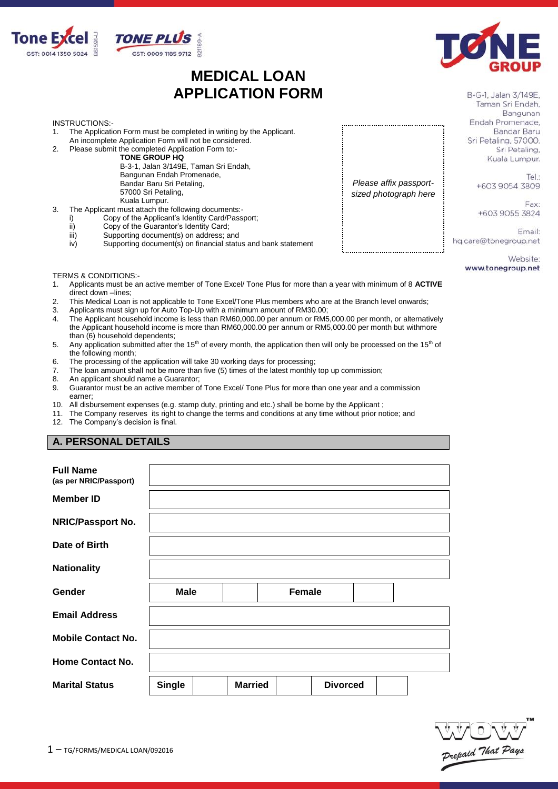

# **MEDICAL LOAN APPLICATION FORM**



B-G-1, Jalan 3/149E, Taman Sri Endah, Bangunan Endah Promenade. Bandar Baru Sri Petaling, 57000. Sri Petaling, Kuala Lumpur.

> Tel: +603 9054 3809

Fay: +603 9055 3824

Email: hq.care@tonegroup.net

> Website: www.tonegroup.net

**INSTRUCTIONS:-**<br>1. The Applicativ

- The Application Form must be completed in writing by the Applicant.
- An incomplete Application Form will not be considered. 2. Please submit the completed Application Form to:-
	- **TONE GROUP HQ**

B-3-1, Jalan 3/149E, Taman Sri Endah, Bangunan Endah Promenade, Bandar Baru Sri Petaling, 57000 Sri Petaling, Kuala Lumpur.

- 3. The Applicant must attach the following documents:
	- i) Copy of the Applicant's Identity Card/Passport;<br>ii) Copy of the Guarantor's Identity Card;
	- Copy of the Guarantor's Identity Card;
	- iii) Supporting document(s) on address; and<br>iv) Supporting document(s) on financial statu
	- Supporting document(s) on financial status and bank statement

TERMS & CONDITIONS:-<br>1. Applicants must be a

- 1. Applicants must be an active member of Tone Excel/ Tone Plus for more than a year with minimum of 8 **ACTIVE**  direct down –lines;
- 2. This Medical Loan is not applicable to Tone Excel/Tone Plus members who are at the Branch level onwards;
- 3. Applicants must sign up for Auto Top-Up with a minimum amount of RM30.00;
- 4. The Applicant household income is less than RM60,000.00 per annum or RM5,000.00 per month, or alternatively the Applicant household income is more than RM60,000.00 per annum or RM5,000.00 per month but withmore than (6) household dependents;
- 5. Any application submitted after the 15<sup>th</sup> of every month, the application then will only be processed on the 15<sup>th</sup> of the following month;
- 6. The processing of the application will take 30 working days for processing;
- 7. The loan amount shall not be more than five (5) times of the latest monthly top up commission;<br>8. An applicant should name a Guarantor:
- An applicant should name a Guarantor;
- 9. Guarantor must be an active member of Tone Excel/ Tone Plus for more than one year and a commission earner;
- 10. All disbursement expenses (e.g. stamp duty, printing and etc.) shall be borne by the Applicant ;
- 11. The Company reserves its right to change the terms and conditions at any time without prior notice; and
- 12. The Company's decision is final.

### **A. PERSONAL DETAILS**

| <b>Full Name</b><br>(as per NRIC/Passport) |               |                |               |                 |  |  |
|--------------------------------------------|---------------|----------------|---------------|-----------------|--|--|
| <b>Member ID</b>                           |               |                |               |                 |  |  |
| <b>NRIC/Passport No.</b>                   |               |                |               |                 |  |  |
| Date of Birth                              |               |                |               |                 |  |  |
| <b>Nationality</b>                         |               |                |               |                 |  |  |
| Gender                                     | <b>Male</b>   |                | <b>Female</b> |                 |  |  |
| <b>Email Address</b>                       |               |                |               |                 |  |  |
| <b>Mobile Contact No.</b>                  |               |                |               |                 |  |  |
| <b>Home Contact No.</b>                    |               |                |               |                 |  |  |
| <b>Marital Status</b>                      | <b>Single</b> | <b>Married</b> |               | <b>Divorced</b> |  |  |



*Please affix passportsized photograph here*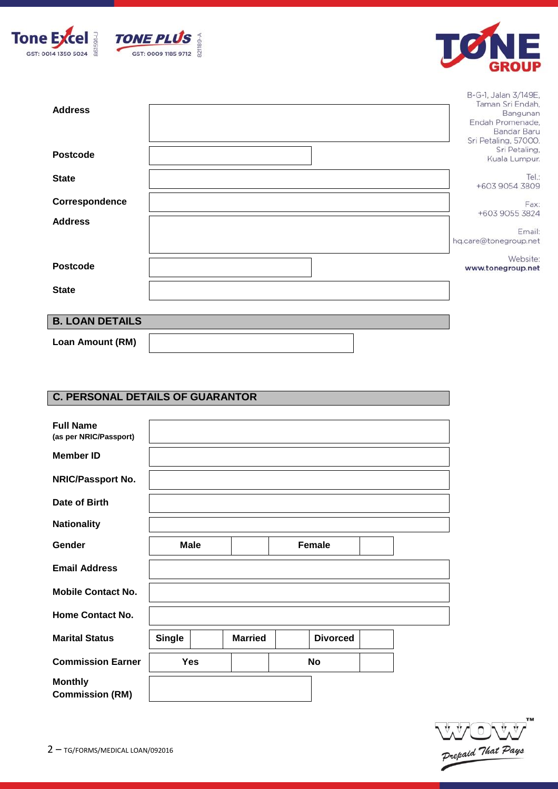





B-G-1, Jalan 3/149E,

| <b>Address</b>         | Taman Sri Endah,<br>Bangunan<br>Endah Promenade,<br>Bandar Baru<br>Sri Petaling, 57000. |
|------------------------|-----------------------------------------------------------------------------------------|
| <b>Postcode</b>        | Sri Petaling,<br>Kuala Lumpur.                                                          |
| <b>State</b>           | Tel:<br>+603 9054 3809                                                                  |
| Correspondence         | Fax:<br>+603 9055 3824                                                                  |
| <b>Address</b>         | Email:<br>hq.care@tonegroup.net                                                         |
| <b>Postcode</b>        | Website:<br>www.tonegroup.net                                                           |
| <b>State</b>           |                                                                                         |
| <b>B. LOAN DETAILS</b> |                                                                                         |
| Loan Amount (RM)       |                                                                                         |

# **C. PERSONAL DETAILS OF GUARANTOR**

| <b>Full Name</b>                         |               |                |                 |  |
|------------------------------------------|---------------|----------------|-----------------|--|
| (as per NRIC/Passport)                   |               |                |                 |  |
| <b>Member ID</b>                         |               |                |                 |  |
| <b>NRIC/Passport No.</b>                 |               |                |                 |  |
| Date of Birth                            |               |                |                 |  |
| <b>Nationality</b>                       |               |                |                 |  |
| Gender                                   | <b>Male</b>   |                | <b>Female</b>   |  |
| <b>Email Address</b>                     |               |                |                 |  |
| <b>Mobile Contact No.</b>                |               |                |                 |  |
| <b>Home Contact No.</b>                  |               |                |                 |  |
| <b>Marital Status</b>                    | <b>Single</b> | <b>Married</b> | <b>Divorced</b> |  |
| <b>Commission Earner</b>                 | Yes           |                | No              |  |
| <b>Monthly</b><br><b>Commission (RM)</b> |               |                |                 |  |

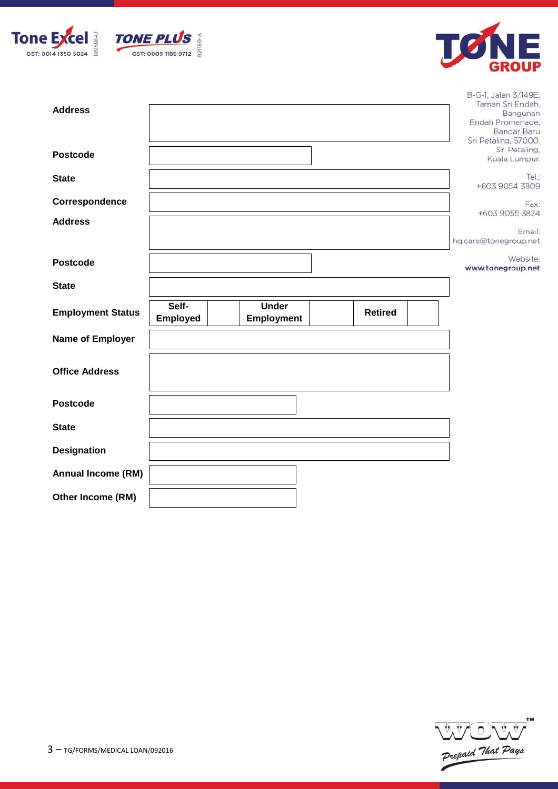





B-G-1, Jalan 3/149E,

| <b>Address</b>            |                          |                                   |                | Taman Sri Endah,<br>Bangunan<br>Endah Promenade,<br>Bandar Baru<br>Sri Petaling, 57000. |
|---------------------------|--------------------------|-----------------------------------|----------------|-----------------------------------------------------------------------------------------|
| <b>Postcode</b>           |                          |                                   |                | Sri Petaling,<br>Kuala Lumpur.                                                          |
| <b>State</b>              |                          |                                   |                | Tel:<br>+603 9054 3809                                                                  |
| Correspondence            |                          |                                   |                | Fax:<br>+603 9055 3824                                                                  |
| <b>Address</b>            |                          |                                   |                | Email:<br>hq.care@tonegroup.net                                                         |
| <b>Postcode</b>           |                          |                                   |                | Website:<br>www.tonegroup.net                                                           |
| <b>State</b>              |                          |                                   |                |                                                                                         |
| <b>Employment Status</b>  | Self-<br><b>Employed</b> | <b>Under</b><br><b>Employment</b> | <b>Retired</b> |                                                                                         |
| <b>Name of Employer</b>   |                          |                                   |                |                                                                                         |
| <b>Office Address</b>     |                          |                                   |                |                                                                                         |
| <b>Postcode</b>           |                          |                                   |                |                                                                                         |
| <b>State</b>              |                          |                                   |                |                                                                                         |
| <b>Designation</b>        |                          |                                   |                |                                                                                         |
| <b>Annual Income (RM)</b> |                          |                                   |                |                                                                                         |
| Other Income (RM)         |                          |                                   |                |                                                                                         |

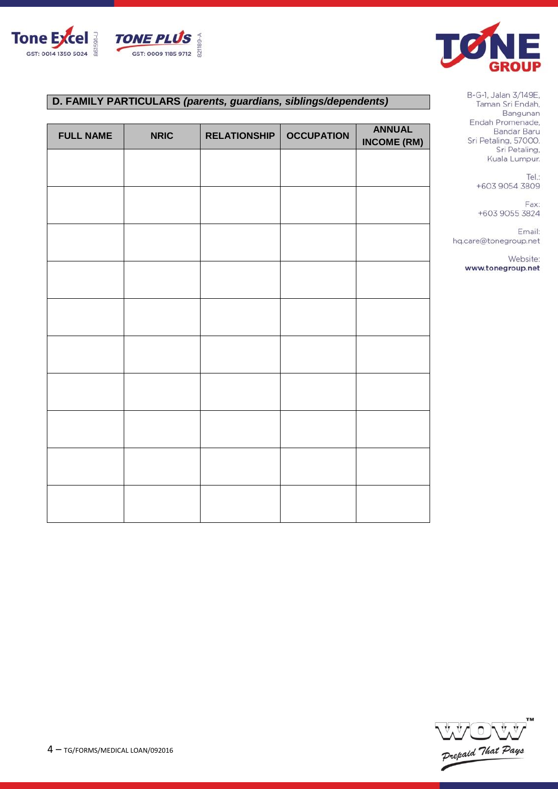



# **D. FAMILY PARTICULARS** *(parents, guardians, siblings/dependents)*

| <b>FULL NAME</b> | <b>NRIC</b> | <b>RELATIONSHIP</b> | <b>OCCUPATION</b> | <b>ANNUAL</b><br><b>INCOME (RM)</b> |
|------------------|-------------|---------------------|-------------------|-------------------------------------|
|                  |             |                     |                   |                                     |
|                  |             |                     |                   |                                     |
|                  |             |                     |                   |                                     |
|                  |             |                     |                   |                                     |
|                  |             |                     |                   |                                     |
|                  |             |                     |                   |                                     |
|                  |             |                     |                   |                                     |
|                  |             |                     |                   |                                     |
|                  |             |                     |                   |                                     |
|                  |             |                     |                   |                                     |
|                  |             |                     |                   |                                     |

B-G-1, Jalan 3/149E, Taman Sri Endah, Bangunan Endah Promenade, Bandar Baru Sri Petaling, 57000. Sri Petaling, Kuala Lumpur.

> Tel.: +603 9054 3809

> Fax: +603 9055 3824

Email: hq.care@tonegroup.net

> Website: www.tonegroup.net

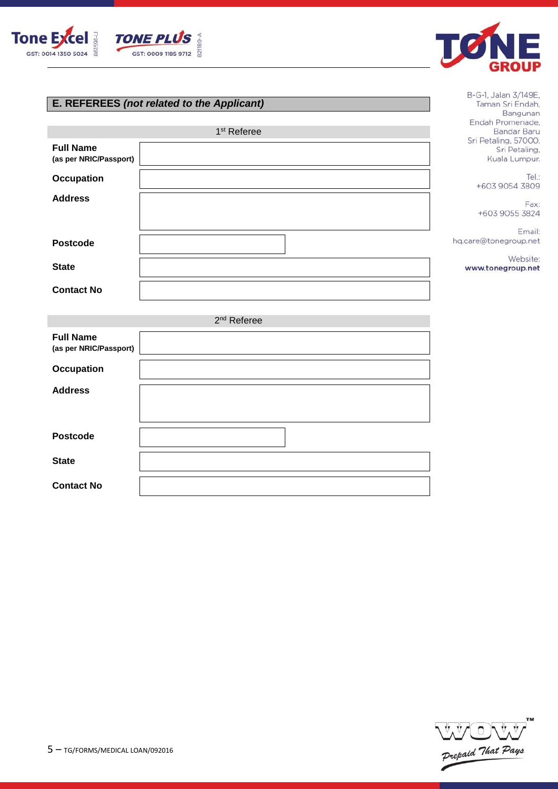



B-G-1, Jalan 3/149E, Taman Sri Endah, Bangunan

# **E. REFEREES** *(not related to the Applicant)*

|                                            | 1 <sup>st</sup> Referee | Endah Promenade,<br>Bandar Baru                        |
|--------------------------------------------|-------------------------|--------------------------------------------------------|
| <b>Full Name</b><br>(as per NRIC/Passport) |                         | Sri Petaling, 57000.<br>Sri Petaling,<br>Kuala Lumpur. |
| <b>Occupation</b>                          |                         | Tel.:<br>+603 9054 3809                                |
| <b>Address</b>                             |                         | Fax:<br>+603 9055 3824                                 |
| <b>Postcode</b>                            |                         | Email:<br>hq.care@tonegroup.net                        |
| <b>State</b>                               |                         | Website:<br>www.tonegroup.net                          |
| <b>Contact No</b>                          |                         |                                                        |
|                                            | 2 <sup>nd</sup> Referee |                                                        |
| <b>Full Name</b><br>(as per NRIC/Passport) |                         |                                                        |
| <b>Occupation</b>                          |                         |                                                        |
| <b>Address</b>                             |                         |                                                        |
| <b>Postcode</b>                            |                         |                                                        |
| <b>State</b>                               |                         |                                                        |
| <b>Contact No</b>                          |                         |                                                        |

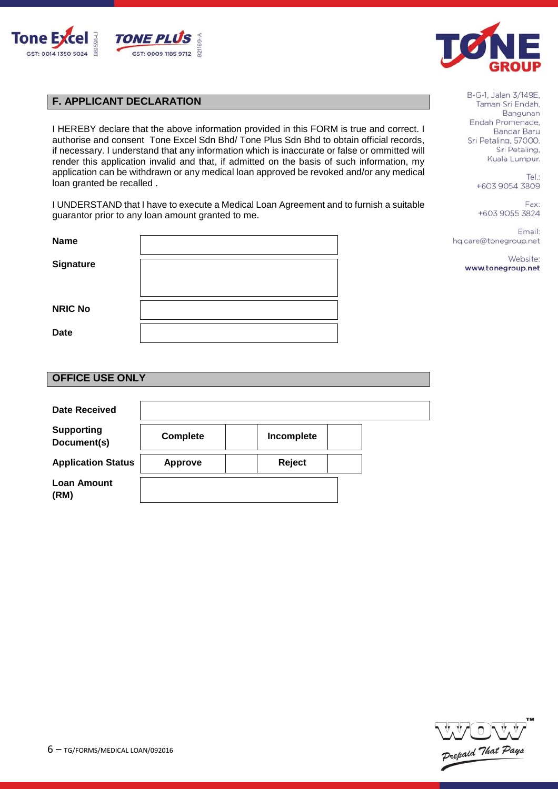



# **F. APPLICANT DECLARATION**

I HEREBY declare that the above information provided in this FORM is true and correct. I authorise and consent Tone Excel Sdn Bhd/ Tone Plus Sdn Bhd to obtain official records, if necessary. I understand that any information which is inaccurate or false or ommitted will render this application invalid and that, if admitted on the basis of such information, my application can be withdrawn or any medical loan approved be revoked and/or any medical loan granted be recalled .

I UNDERSTAND that I have to execute a Medical Loan Agreement and to furnish a suitable guarantor prior to any loan amount granted to me.

| <b>Name</b>    |  |
|----------------|--|
|                |  |
| Signature      |  |
|                |  |
|                |  |
| <b>NRIC No</b> |  |
|                |  |
| <b>Date</b>    |  |
|                |  |

B-G-1, Jalan 3/149E, Taman Sri Endah. Bangunan Endah Promenade. Bandar Baru Sri Petaling, 57000. Sri Petaling, Kuala Lumpur.

> Tel.: +603 9054 3809

Fax: +603 9055 3824

Email: hq.care@tonegroup.net

> Website: www.tonegroup.net

#### **OFFICE USE ONLY**

| <b>Date Received</b>             |                 |            |  |
|----------------------------------|-----------------|------------|--|
| <b>Supporting</b><br>Document(s) | <b>Complete</b> | Incomplete |  |
| <b>Application Status</b>        | <b>Approve</b>  | Reject     |  |
| <b>Loan Amount</b><br>(RM)       |                 |            |  |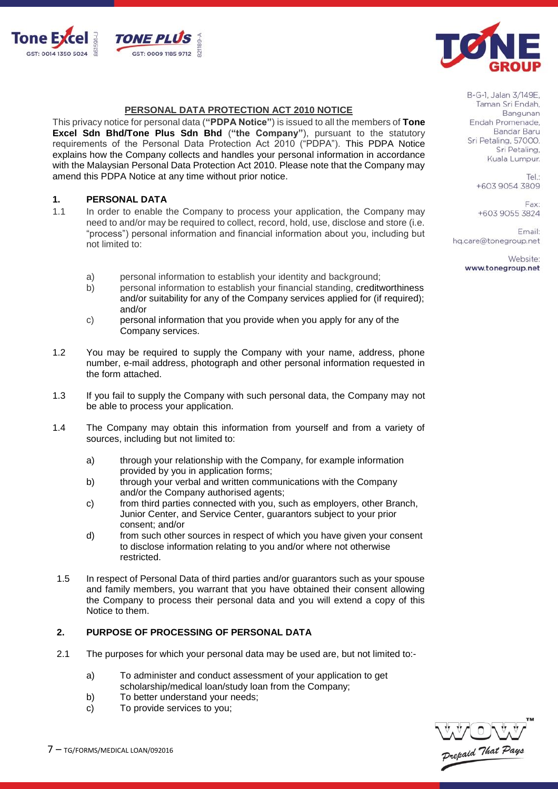



#### **PERSONAL DATA PROTECTION ACT 2010 NOTICE**

This privacy notice for personal data (**"PDPA Notice"**) is issued to all the members of **Tone Excel Sdn Bhd/Tone Plus Sdn Bhd** (**"the Company"**), pursuant to the statutory requirements of the Personal Data Protection Act 2010 ("PDPA"). This PDPA Notice explains how the Company collects and handles your personal information in accordance with the Malaysian Personal Data Protection Act 2010. Please note that the Company may amend this PDPA Notice at any time without prior notice.

### **1. PERSONAL DATA**

- 1.1 In order to enable the Company to process your application, the Company may need to and/or may be required to collect, record, hold, use, disclose and store (i.e. "process") personal information and financial information about you, including but not limited to:
	- a) personal information to establish your identity and background;<br>b) personal information to establish your financial standing, credity
	- b) personal information to establish your financial standing, creditworthiness and/or suitability for any of the Company services applied for (if required); and/or
	- c) personal information that you provide when you apply for any of the Company services.
- 1.2 You may be required to supply the Company with your name, address, phone number, e-mail address, photograph and other personal information requested in the form attached.
- 1.3 If you fail to supply the Company with such personal data, the Company may not be able to process your application.
- 1.4 The Company may obtain this information from yourself and from a variety of sources, including but not limited to:
	- a) through your relationship with the Company, for example information provided by you in application forms;
	- b) through your verbal and written communications with the Company and/or the Company authorised agents;
	- c) from third parties connected with you, such as employers, other Branch, Junior Center, and Service Center, guarantors subject to your prior consent; and/or
	- d) from such other sources in respect of which you have given your consent to disclose information relating to you and/or where not otherwise restricted.
- 1.5 In respect of Personal Data of third parties and/or guarantors such as your spouse and family members, you warrant that you have obtained their consent allowing the Company to process their personal data and you will extend a copy of this Notice to them.

#### **2. PURPOSE OF PROCESSING OF PERSONAL DATA**

- 2.1 The purposes for which your personal data may be used are, but not limited to:
	- a) To administer and conduct assessment of your application to get scholarship/medical loan/study loan from the Company;
	- b) To better understand your needs;
	- c) To provide services to you;



B-G-1, Jalan 3/149E, Taman Sri Endah, Bangunan Endah Promenade. **Bandar Baru** Sri Petaling, 57000. Sri Petaling, Kuala Lumpur.

> Tel: +603 9054 3809

Fax: +603 9055 3824

Email: hq.care@tonegroup.net

> Website: www.tonegroup.net